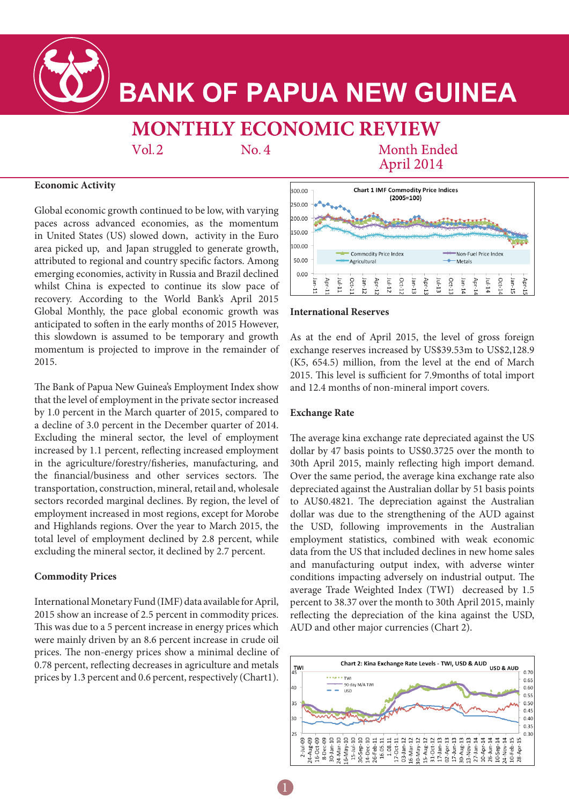

# **BANK OF PAPUA NEW GUINEA**

## **MONTHLY ECONOMIC REVIEW**

 $Vol.2$ 

 $No.4$ 

**Month Ended** April 2014

#### **Economic Activity**

Global economic growth continued to be low, with varying paces across advanced economies, as the momentum in United States (US) slowed down, activity in the Euro area picked up, and Japan struggled to generate growth, attributed to regional and country specific factors. Among emerging economies, activity in Russia and Brazil declined whilst China is expected to continue its slow pace of recovery. According to the World Bank's April 2015 Global Monthly, the pace global economic growth was anticipated to soften in the early months of 2015 However, this slowdown is assumed to be temporary and growth momentum is projected to improve in the remainder of 2015.

The Bank of Papua New Guinea's Employment Index show that the level of employment in the private sector increased by 1.0 percent in the March quarter of 2015, compared to a decline of 3.0 percent in the December quarter of 2014. Excluding the mineral sector, the level of employment increased by 1.1 percent, reflecting increased employment in the agriculture/forestry/fisheries, manufacturing, and the financial/business and other services sectors. The transportation, construction, mineral, retail and, wholesale sectors recorded marginal declines. By region, the level of employment increased in most regions, except for Morobe and Highlands regions. Over the year to March 2015, the total level of employment declined by 2.8 percent, while excluding the mineral sector, it declined by 2.7 percent.

#### **Commodity Prices**

International Monetary Fund (IMF) data available for April, 2015 show an increase of 2.5 percent in commodity prices. This was due to a 5 percent increase in energy prices which were mainly driven by an 8.6 percent increase in crude oil prices. The non-energy prices show a minimal decline of 0.78 percent, reflecting decreases in agriculture and metals prices by 1.3 percent and 0.6 percent, respectively (Chart1).



#### **International Reserves**

As at the end of April 2015, the level of gross foreign exchange reserves increased by US\$39.53m to US\$2,128.9 (K5, 654.5) million, from the level at the end of March 2015. This level is sufficient for 7.9months of total import and 12.4 months of non-mineral import covers.

#### **Exchange Rate**

The average kina exchange rate depreciated against the US dollar by 47 basis points to US\$0.3725 over the month to 30th April 2015, mainly reflecting high import demand. Over the same period, the average kina exchange rate also depreciated against the Australian dollar by 51 basis points to AU\$0.4821. The depreciation against the Australian dollar was due to the strengthening of the AUD against the USD, following improvements in the Australian employment statistics, combined with weak economic data from the US that included declines in new home sales and manufacturing output index, with adverse winter conditions impacting adversely on industrial output. The average Trade Weighted Index (TWI) decreased by 1.5 percent to 38.37 over the month to 30th April 2015, mainly reflecting the depreciation of the kina against the USD, AUD and other major currencies (Chart 2).

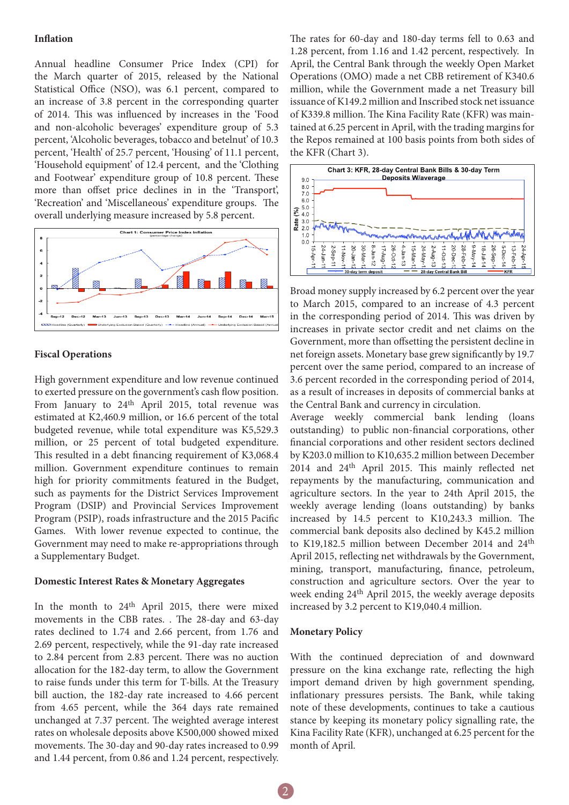#### **Inflation**

Annual headline Consumer Price Index (CPI) for the March quarter of 2015, released by the National Statistical Office (NSO), was 6.1 percent, compared to an increase of 3.8 percent in the corresponding quarter of 2014. This was influenced by increases in the 'Food and non-alcoholic beverages' expenditure group of 5.3 percent, 'Alcoholic beverages, tobacco and betelnut' of 10.3 percent, 'Health' of 25.7 percent, 'Housing' of 11.1 percent, 'Household equipment' of 12.4 percent, and the 'Clothing and Footwear' expenditure group of 10.8 percent. These more than offset price declines in in the 'Transport', 'Recreation' and 'Miscellaneous' expenditure groups. The overall underlying measure increased by 5.8 percent.



#### **Fiscal Operations**

High government expenditure and low revenue continued to exerted pressure on the government's cash flow position. From January to 24<sup>th</sup> April 2015, total revenue was estimated at K2,460.9 million, or 16.6 percent of the total budgeted revenue, while total expenditure was K5,529.3 million, or 25 percent of total budgeted expenditure. This resulted in a debt financing requirement of K3,068.4 million. Government expenditure continues to remain high for priority commitments featured in the Budget, such as payments for the District Services Improvement Program (DSIP) and Provincial Services Improvement Program (PSIP), roads infrastructure and the 2015 Pacific Games. With lower revenue expected to continue, the Government may need to make re-appropriations through a Supplementary Budget.

#### **Domestic Interest Rates & Monetary Aggregates**

In the month to 24<sup>th</sup> April 2015, there were mixed movements in the CBB rates. . The 28-day and 63-day rates declined to 1.74 and 2.66 percent, from 1.76 and 2.69 percent, respectively, while the 91-day rate increased to 2.84 percent from 2.83 percent. There was no auction allocation for the 182-day term, to allow the Government to raise funds under this term for T-bills. At the Treasury bill auction, the 182-day rate increased to 4.66 percent from 4.65 percent, while the 364 days rate remained unchanged at 7.37 percent. The weighted average interest rates on wholesale deposits above K500,000 showed mixed movements. The 30-day and 90-day rates increased to 0.99 and 1.44 percent, from 0.86 and 1.24 percent, respectively.

The rates for 60-day and 180-day terms fell to 0.63 and 1.28 percent, from 1.16 and 1.42 percent, respectively. In April, the Central Bank through the weekly Open Market Operations (OMO) made a net CBB retirement of K340.6 million, while the Government made a net Treasury bill issuance of K149.2 million and Inscribed stock net issuance of K339.8 million. The Kina Facility Rate (KFR) was maintained at 6.25 percent in April, with the trading margins for the Repos remained at 100 basis points from both sides of the KFR (Chart 3).



Broad money supply increased by 6.2 percent over the year to March 2015, compared to an increase of 4.3 percent in the corresponding period of 2014. This was driven by increases in private sector credit and net claims on the Government, more than offsetting the persistent decline in net foreign assets. Monetary base grew significantly by 19.7 percent over the same period, compared to an increase of 3.6 percent recorded in the corresponding period of 2014, as a result of increases in deposits of commercial banks at the Central Bank and currency in circulation.

Average weekly commercial bank lending (loans outstanding) to public non-financial corporations, other financial corporations and other resident sectors declined by K203.0 million to K10,635.2 million between December 2014 and 24th April 2015. This mainly reflected net repayments by the manufacturing, communication and agriculture sectors. In the year to 24th April 2015, the weekly average lending (loans outstanding) by banks increased by 14.5 percent to K10,243.3 million. The commercial bank deposits also declined by K45.2 million to K19,182.5 million between December 2014 and 24<sup>th</sup> April 2015, reflecting net withdrawals by the Government, mining, transport, manufacturing, finance, petroleum, construction and agriculture sectors. Over the year to week ending 24th April 2015, the weekly average deposits increased by 3.2 percent to K19,040.4 million.

#### **Monetary Policy**

With the continued depreciation of and downward pressure on the kina exchange rate, reflecting the high import demand driven by high government spending, inflationary pressures persists. The Bank, while taking note of these developments, continues to take a cautious stance by keeping its monetary policy signalling rate, the Kina Facility Rate (KFR), unchanged at 6.25 percent for the month of April.